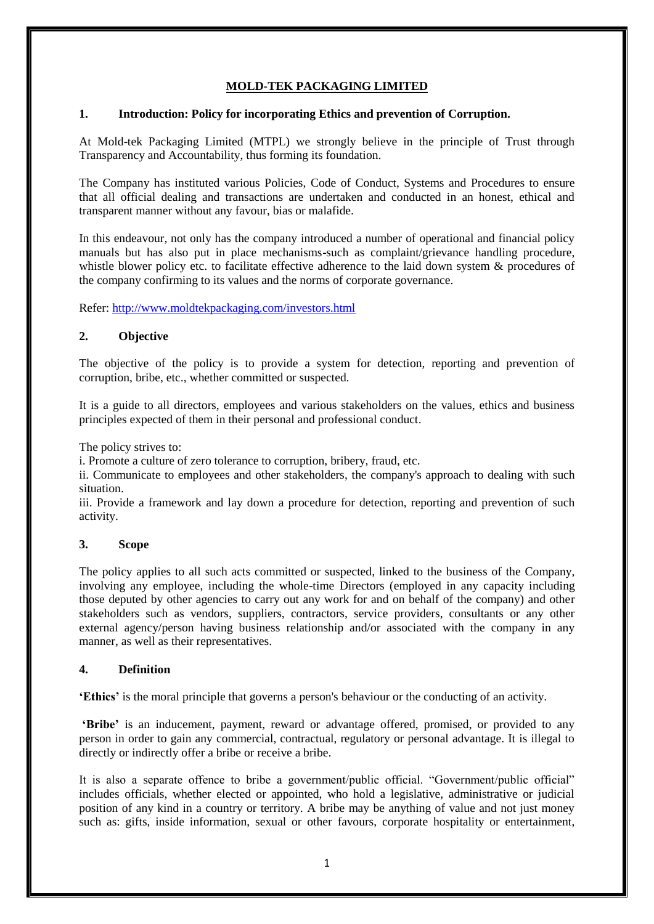# **MOLD-TEK PACKAGING LIMITED**

#### **1. Introduction: Policy for incorporating Ethics and prevention of Corruption.**

At Mold-tek Packaging Limited (MTPL) we strongly believe in the principle of Trust through Transparency and Accountability, thus forming its foundation.

The Company has instituted various Policies, Code of Conduct, Systems and Procedures to ensure that all official dealing and transactions are undertaken and conducted in an honest, ethical and transparent manner without any favour, bias or malafide.

In this endeavour, not only has the company introduced a number of operational and financial policy manuals but has also put in place mechanisms-such as complaint/grievance handling procedure, whistle blower policy etc. to facilitate effective adherence to the laid down system & procedures of the company confirming to its values and the norms of corporate governance.

Refer: <http://www.moldtekpackaging.com/investors.html>

## **2. Objective**

The objective of the policy is to provide a system for detection, reporting and prevention of corruption, bribe, etc., whether committed or suspected.

It is a guide to all directors, employees and various stakeholders on the values, ethics and business principles expected of them in their personal and professional conduct.

The policy strives to:

i. Promote a culture of zero tolerance to corruption, bribery, fraud, etc.

ii. Communicate to employees and other stakeholders, the company's approach to dealing with such situation.

iii. Provide a framework and lay down a procedure for detection, reporting and prevention of such activity.

#### **3. Scope**

The policy applies to all such acts committed or suspected, linked to the business of the Company, involving any employee, including the whole-time Directors (employed in any capacity including those deputed by other agencies to carry out any work for and on behalf of the company) and other stakeholders such as vendors, suppliers, contractors, service providers, consultants or any other external agency/person having business relationship and/or associated with the company in any manner, as well as their representatives.

#### **4. Definition**

**'Ethics'** is the moral principle that governs a person's behaviour or the conducting of an activity.

**'Bribe'** is an inducement, payment, reward or advantage offered, promised, or provided to any person in order to gain any commercial, contractual, regulatory or personal advantage. It is illegal to directly or indirectly offer a bribe or receive a bribe.

It is also a separate offence to bribe a government/public official. "Government/public official" includes officials, whether elected or appointed, who hold a legislative, administrative or judicial position of any kind in a country or territory. A bribe may be anything of value and not just money such as: gifts, inside information, sexual or other favours, corporate hospitality or entertainment,